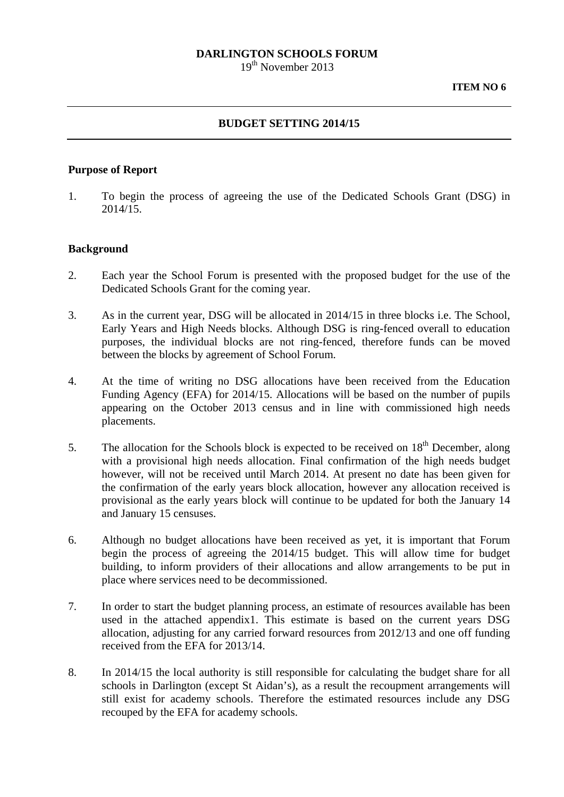# **DARLINGTON SCHOOLS FORUM**

19<sup>th</sup> November 2013

### **BUDGET SETTING 2014/15**

### **Purpose of Report**

1. To begin the process of agreeing the use of the Dedicated Schools Grant (DSG) in 2014/15.

## **Background**

- 2. Each year the School Forum is presented with the proposed budget for the use of the Dedicated Schools Grant for the coming year.
- 3. As in the current year, DSG will be allocated in 2014/15 in three blocks i.e. The School, Early Years and High Needs blocks. Although DSG is ring-fenced overall to education purposes, the individual blocks are not ring-fenced, therefore funds can be moved between the blocks by agreement of School Forum.
- 4. At the time of writing no DSG allocations have been received from the Education Funding Agency (EFA) for 2014/15. Allocations will be based on the number of pupils appearing on the October 2013 census and in line with commissioned high needs placements.
- 5. The allocation for the Schools block is expected to be received on  $18<sup>th</sup>$  December, along with a provisional high needs allocation. Final confirmation of the high needs budget however, will not be received until March 2014. At present no date has been given for the confirmation of the early years block allocation, however any allocation received is provisional as the early years block will continue to be updated for both the January 14 and January 15 censuses.
- 6. Although no budget allocations have been received as yet, it is important that Forum begin the process of agreeing the 2014/15 budget. This will allow time for budget building, to inform providers of their allocations and allow arrangements to be put in place where services need to be decommissioned.
- 7. In order to start the budget planning process, an estimate of resources available has been used in the attached appendix1. This estimate is based on the current years DSG allocation, adjusting for any carried forward resources from 2012/13 and one off funding received from the EFA for 2013/14.
- 8. In 2014/15 the local authority is still responsible for calculating the budget share for all schools in Darlington (except St Aidan's), as a result the recoupment arrangements will still exist for academy schools. Therefore the estimated resources include any DSG recouped by the EFA for academy schools.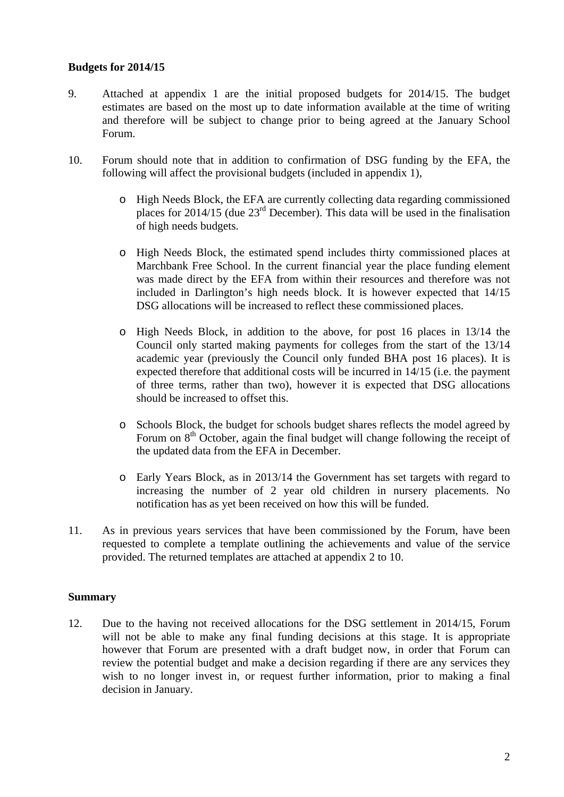## **Budgets for 2014/15**

- 9. Attached at appendix 1 are the initial proposed budgets for 2014/15. The budget estimates are based on the most up to date information available at the time of writing and therefore will be subject to change prior to being agreed at the January School Forum.
- 10. Forum should note that in addition to confirmation of DSG funding by the EFA, the following will affect the provisional budgets (included in appendix 1),
	- o High Needs Block, the EFA are currently collecting data regarding commissioned places for 2014/15 (due 23rd December). This data will be used in the finalisation of high needs budgets.
	- o High Needs Block, the estimated spend includes thirty commissioned places at Marchbank Free School. In the current financial year the place funding element was made direct by the EFA from within their resources and therefore was not included in Darlington's high needs block. It is however expected that 14/15 DSG allocations will be increased to reflect these commissioned places.
	- o High Needs Block, in addition to the above, for post 16 places in 13/14 the Council only started making payments for colleges from the start of the 13/14 academic year (previously the Council only funded BHA post 16 places). It is expected therefore that additional costs will be incurred in 14/15 (i.e. the payment of three terms, rather than two), however it is expected that DSG allocations should be increased to offset this.
	- o Schools Block, the budget for schools budget shares reflects the model agreed by Forum on  $8<sup>th</sup>$  October, again the final budget will change following the receipt of the updated data from the EFA in December.
	- o Early Years Block, as in 2013/14 the Government has set targets with regard to increasing the number of 2 year old children in nursery placements. No notification has as yet been received on how this will be funded.
- 11. As in previous years services that have been commissioned by the Forum, have been requested to complete a template outlining the achievements and value of the service provided. The returned templates are attached at appendix 2 to 10.

### **Summary**

12. Due to the having not received allocations for the DSG settlement in 2014/15, Forum will not be able to make any final funding decisions at this stage. It is appropriate however that Forum are presented with a draft budget now, in order that Forum can review the potential budget and make a decision regarding if there are any services they wish to no longer invest in, or request further information, prior to making a final decision in January.